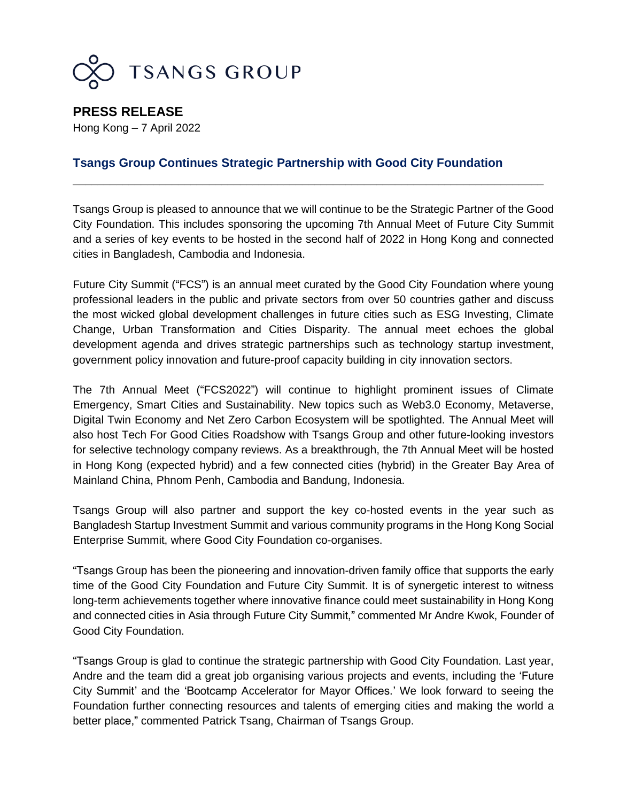

**PRESS RELEASE** Hong Kong – 7 April 2022

## **Tsangs Group Continues Strategic Partnership with Good City Foundation**

Tsangs Group is pleased to announce that we will continue to be the Strategic Partner of the Good City Foundation. This includes sponsoring the upcoming 7th Annual Meet of Future City Summit and a series of key events to be hosted in the second half of 2022 in Hong Kong and connected cities in Bangladesh, Cambodia and Indonesia.

\_\_\_\_\_\_\_\_\_\_\_\_\_\_\_\_\_\_\_\_\_\_\_\_\_\_\_\_\_\_\_\_\_\_\_\_\_\_\_\_\_\_\_\_\_\_\_\_\_\_\_\_\_\_\_\_\_\_\_\_\_\_\_\_\_\_\_\_\_\_\_\_\_\_\_\_

Future City Summit ("FCS") is an annual meet curated by the Good City Foundation where young professional leaders in the public and private sectors from over 50 countries gather and discuss the most wicked global development challenges in future cities such as ESG Investing, Climate Change, Urban Transformation and Cities Disparity. The annual meet echoes the global development agenda and drives strategic partnerships such as technology startup investment, government policy innovation and future-proof capacity building in city innovation sectors.

The 7th Annual Meet ("FCS2022") will continue to highlight prominent issues of Climate Emergency, Smart Cities and Sustainability. New topics such as Web3.0 Economy, Metaverse, Digital Twin Economy and Net Zero Carbon Ecosystem will be spotlighted. The Annual Meet will also host Tech For Good Cities Roadshow with Tsangs Group and other future-looking investors for selective technology company reviews. As a breakthrough, the 7th Annual Meet will be hosted in Hong Kong (expected hybrid) and a few connected cities (hybrid) in the Greater Bay Area of Mainland China, Phnom Penh, Cambodia and Bandung, Indonesia.

Tsangs Group will also partner and support the key co-hosted events in the year such as Bangladesh Startup Investment Summit and various community programs in the Hong Kong Social Enterprise Summit, where Good City Foundation co-organises.

"Tsangs Group has been the pioneering and innovation-driven family office that supports the early time of the Good City Foundation and Future City Summit. It is of synergetic interest to witness long-term achievements together where innovative finance could meet sustainability in Hong Kong and connected cities in Asia through Future City Summit," commented Mr Andre Kwok, Founder of Good City Foundation.

"Tsangs Group is glad to continue the strategic partnership with Good City Foundation. Last year, Andre and the team did a great job organising various projects and events, including the 'Future City Summit' and the 'Bootcamp Accelerator for Mayor Offices.' We look forward to seeing the Foundation further connecting resources and talents of emerging cities and making the world a better place," commented Patrick Tsang, Chairman of Tsangs Group.